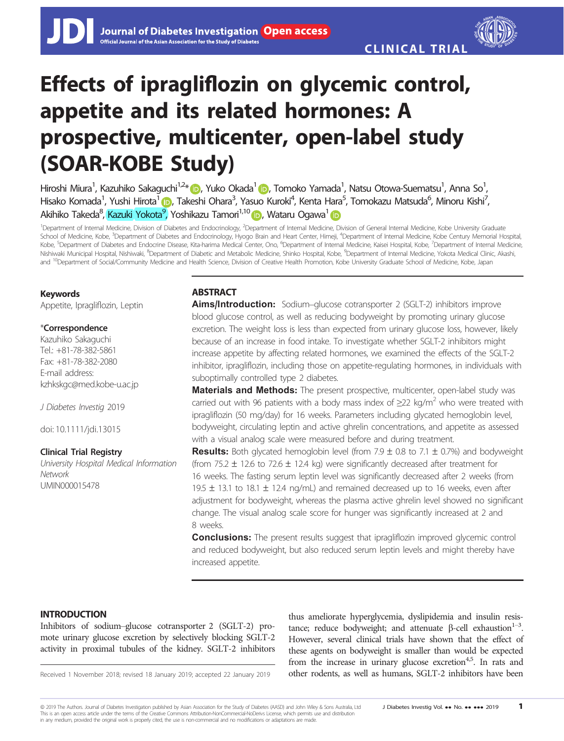# Effects of ipragliflozin on glycemic control, appetite and its related hormones: A prospective, multicenter, open-label study (SOAR-KOBE Study)

Hiroshi Miura<sup>1</sup>, Kazuhiko Sakaguchi<sup>1,2</sup>\* (D, Yuko Okada<sup>1</sup> (D, Tomoko Yamada<sup>1</sup>, Natsu Otowa-Suematsu<sup>1</sup>, Anna So<sup>1</sup> , Hisako Komada<sup>1</sup>, Yushi Hirota<sup>1</sup> (b), Takeshi Ohara<sup>3</sup>, Yasuo Kuroki<sup>4</sup>, Kenta Hara<sup>5</sup>, Tomokazu Matsuda<sup>6</sup>, Minoru Kishi<sup>7</sup> , Akihiko Takeda<sup>8</sup>, <mark>Kazuki Yokota<sup>9</sup>, Yoshikazu Tamori<sup>1,10</sup> (D</mark>, Wataru Ogawa<sup>1</sup>

<sup>1</sup>Department of Internal Medicine, Division of Diabetes and Endocrinology, <sup>2</sup>Department of Internal Medicine, Division of General Internal Medicine, Kobe University Graduate School of Medicine, Kobe, <sup>3</sup>Department of Diabetes and Endocrinology, Hyogo Brain and Heart Center, Himeji, <sup>4</sup>Department of Internal Medicine, Kobe Century Memorial Hospital Kobe, <sup>5</sup>Department of Diabetes and Endocrine Disease, Kita-harima Medical Center, Ono, <sup>6</sup>Department of Internal Medicine, Kaisei Hospital, Kobe, <sup>7</sup>Department of Internal Medicine, Nishiwaki Municipal Hospital, Nishiwaki, <sup>8</sup>Department of Diabetic and Metabolic Medicine, Shinko Hospital, Kobe, <sup>9</sup>Department of Internal Medicine, Yokota Medical Clinic, Akashi, and <sup>10</sup>Department of Social/Community Medicine and Health Science, Division of Creative Health Promotion, Kobe University Graduate School of Medicine, Kobe, Japan

# Keywords

Appetite, Ipragliflozin, Leptin

# \*Correspondence

Kazuhiko Sakaguchi Tel.: +81-78-382-5861 Fax: +81-78-382-2080 E-mail address: kzhkskgc@med.kobe-u.ac.jp

J Diabetes Investig 2019

doi: 10.1111/jdi.13015

# Clinical Trial Registry

University Hospital Medical Information **Network** UMIN000015478

# **ABSTRACT**

Aims/Introduction: Sodium–glucose cotransporter 2 (SGLT-2) inhibitors improve blood glucose control, as well as reducing bodyweight by promoting urinary glucose excretion. The weight loss is less than expected from urinary glucose loss, however, likely because of an increase in food intake. To investigate whether SGLT-2 inhibitors might increase appetite by affecting related hormones, we examined the effects of the SGLT-2 inhibitor, ipragliflozin, including those on appetite-regulating hormones, in individuals with suboptimally controlled type 2 diabetes.

**Materials and Methods:** The present prospective, multicenter, open-label study was carried out with 96 patients with a body mass index of  $\geq$ 22 kg/m<sup>2</sup> who were treated with ipragliflozin (50 mg/day) for 16 weeks. Parameters including glycated hemoglobin level, bodyweight, circulating leptin and active ghrelin concentrations, and appetite as assessed with a visual analog scale were measured before and during treatment.

**Results:** Both glycated hemoglobin level (from 7.9  $\pm$  0.8 to 7.1  $\pm$  0.7%) and bodyweight (from 75.2  $\pm$  12.6 to 72.6  $\pm$  12.4 kg) were significantly decreased after treatment for 16 weeks. The fasting serum leptin level was significantly decreased after 2 weeks (from 19.5  $\pm$  13.1 to 18.1  $\pm$  12.4 ng/mL) and remained decreased up to 16 weeks, even after adjustment for bodyweight, whereas the plasma active ghrelin level showed no significant change. The visual analog scale score for hunger was significantly increased at 2 and 8 weeks.

**Conclusions:** The present results suggest that ipragliflozin improved glycemic control and reduced bodyweight, but also reduced serum leptin levels and might thereby have increased appetite.

# INTRODUCTION

Inhibitors of sodium–glucose cotransporter 2 (SGLT-2) promote urinary glucose excretion by selectively blocking SGLT-2 activity in proximal tubules of the kidney. SGLT-2 inhibitors

thus ameliorate hyperglycemia, dyslipidemia and insulin resistance; reduce bodyweight; and attenuate  $\beta$ -cell exhaustion<sup>1-3</sup>. However, several clinical trials have shown that the effect of these agents on bodyweight is smaller than would be expected from the increase in urinary glucose excretion<sup>4,5</sup>. In rats and Received 1 November 2018; revised 18 January 2019; accepted 22 January 2019 other rodents, as well as humans, SGLT-2 inhibitors have been

© 2019 The Authors. Journal of Diabetes Investigation published by Asian Association for the Study of Diabetes (AASD) and John Wiley & Sons Australia, Ltd J Diabetes Investig Vol. ... No. ... ... 2019 1 This is an open access article under the terms of the Creative Commons Attribution-NonCommercial-NoDerivs License, which permits use and distribution in any medium, provided the original work is properly cited, the use is non-commercial and no modifications or adaptations are made.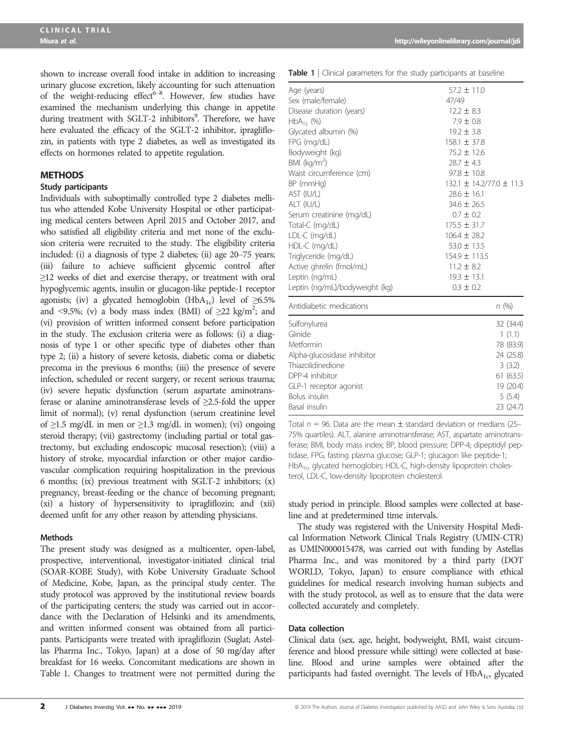shown to increase overall food intake in addition to increasing urinary glucose excretion, likely accounting for such attenuation of the weight-reducing effect<sup>6-8</sup>. However, few studies have examined the mechanism underlying this change in appetite during treatment with SGLT-2 inhibitors<sup>9</sup>. Therefore, we have here evaluated the efficacy of the SGLT-2 inhibitor, ipragliflozin, in patients with type 2 diabetes, as well as investigated its effects on hormones related to appetite regulation.

## **METHODS**

#### Study participants

Individuals with suboptimally controlled type 2 diabetes mellitus who attended Kobe University Hospital or other participating medical centers between April 2015 and October 2017, and who satisfied all eligibility criteria and met none of the exclusion criteria were recruited to the study. The eligibility criteria included: (i) a diagnosis of type 2 diabetes; (ii) age 20–75 years; (iii) failure to achieve sufficient glycemic control after ≥12 weeks of diet and exercise therapy, or treatment with oral hypoglycemic agents, insulin or glucagon-like peptide-1 receptor agonists; (iv) a glycated hemoglobin (HbA<sub>1c</sub>) level of  $\geq 6.5\%$ and <9.5%; (v) a body mass index (BMI) of  $\geq$ 22 kg/m<sup>2</sup>; and (vi) provision of written informed consent before participation in the study. The exclusion criteria were as follows: (i) a diagnosis of type 1 or other specific type of diabetes other than type 2; (ii) a history of severe ketosis, diabetic coma or diabetic precoma in the previous 6 months; (iii) the presence of severe infection, scheduled or recent surgery, or recent serious trauma; (iv) severe hepatic dysfunction (serum aspartate aminotransferase or alanine aminotransferase levels of ≥2.5-fold the upper limit of normal); (v) renal dysfunction (serum creatinine level of ≥1.5 mg/dL in men or ≥1.3 mg/dL in women); (vi) ongoing steroid therapy; (vii) gastrectomy (including partial or total gastrectomy, but excluding endoscopic mucosal resection); (viii) a history of stroke, myocardial infarction or other major cardiovascular complication requiring hospitalization in the previous 6 months; (ix) previous treatment with SGLT-2 inhibitors; (x) pregnancy, breast-feeding or the chance of becoming pregnant; (xi) a history of hypersensitivity to ipragliflozin; and (xii) deemed unfit for any other reason by attending physicians.

#### Methods

The present study was designed as a multicenter, open-label, prospective, interventional, investigator-initiated clinical trial (SOAR-KOBE Study), with Kobe University Graduate School of Medicine, Kobe, Japan, as the principal study center. The study protocol was approved by the institutional review boards of the participating centers; the study was carried out in accordance with the Declaration of Helsinki and its amendments, and written informed consent was obtained from all participants. Participants were treated with ipragliflozin (Suglat; Astellas Pharma Inc., Tokyo, Japan) at a dose of 50 mg/day after breakfast for 16 weeks. Concomitant medications are shown in Table 1. Changes to treatment were not permitted during the

|  |  | <b>Table 1</b>   Clinical parameters for the study participants at baseline |  |  |  |  |  |
|--|--|-----------------------------------------------------------------------------|--|--|--|--|--|
|--|--|-----------------------------------------------------------------------------|--|--|--|--|--|

| Age (years)                    | $57.2 \pm 11.0$                |
|--------------------------------|--------------------------------|
| Sex (male/female)              | 47/49                          |
| Disease duration (years)       | $12.2 \pm 8.3$                 |
| $HbA_{1c}$ (%)                 | $7.9 \pm 0.8$                  |
| Glycated albumin (%)           | $19.2 \pm 3.8$                 |
| FPG (mg/dL)                    | $158.1 \pm 37.8$               |
| Bodyweight (kg)                | 75.2 ± 12.6                    |
| BMI ( $kg/m2$ )                | $28.7 \pm 4.3$                 |
| Waist circumference (cm)       | $97.8 \pm 10.8$                |
| BP (mmHg)                      | $132.1 \pm 14.2/77.0 \pm 11.3$ |
| AST (IU/L)                     | $28.6 \pm 16.1$                |
| ALT (IU/L)                     | $34.6 \pm 26.5$                |
| Serum creatinine (mg/dL)       | $0.7 \pm 0.2$                  |
| Total-C (mg/dL)                | $175.5 \pm 31.7$               |
| LDL-C (mg/dL)                  | $106.4 \pm 28.2$               |
| HDL-C (mg/dL)                  | $53.0 \pm 13.5$                |
| Triglyceride (mg/dL)           | 154.9 ± 113.5                  |
| Active ghrelin (fmol/mL)       | $11.2 \pm 8.2$                 |
| Leptin (ng/mL)                 | $19.3 \pm 13.1$                |
| Leptin (ng/mL)/bodyweight (kg) | $0.3 \pm 0.2$                  |
| Antidiabetic medications       | n(%)                           |
| Sulfonylurea                   | 32 (34.4)                      |
| Glinide                        | 1(1.1)                         |
| Metformin                      | 78 (83.9)                      |
| Alpha-glucosidase inhibitor    | 24 (25.8)                      |
| Thiazolidinedione              | 3(3.2)                         |
| DPP-4 inhibitor                | 61(63.5)                       |
| GLP-1 receptor agonist         | 19 (20.4)                      |
| <b>Bolus</b> insulin           | 5(5.4)                         |
| Basal insulin                  | 23 (24.7)                      |

Total  $n = 96$ . Data are the mean  $\pm$  standard deviation or medians (25– 75% quartiles). ALT, alanine aminotransferase; AST, aspartate aminotransferase; BMI, body mass index; BP, blood pressure; DPP-4; dipeptidyl peptidase, FPG, fasting plasma glucose; GLP-1; glucagon like peptide-1; HbA<sub>1c</sub>, glycated hemoglobin; HDL-C, high-density lipoprotein cholesterol, LDL-C, low-density lipoprotein cholesterol.

study period in principle. Blood samples were collected at baseline and at predetermined time intervals.

The study was registered with the University Hospital Medical Information Network Clinical Trials Registry (UMIN-CTR) as UMIN000015478, was carried out with funding by Astellas Pharma Inc., and was monitored by a third party (DOT WORLD, Tokyo, Japan) to ensure compliance with ethical guidelines for medical research involving human subjects and with the study protocol, as well as to ensure that the data were collected accurately and completely.

# Data collection

Clinical data (sex, age, height, bodyweight, BMI, waist circumference and blood pressure while sitting) were collected at baseline. Blood and urine samples were obtained after the participants had fasted overnight. The levels of  $HbA_{1c}$ , glycated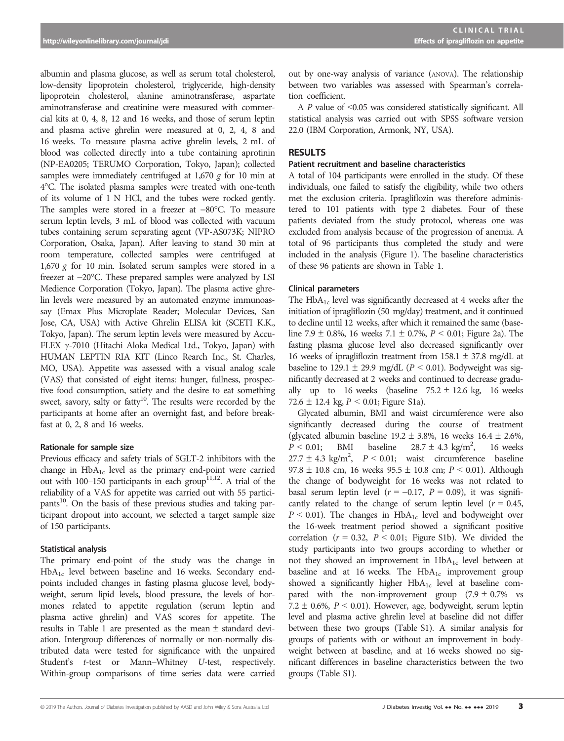albumin and plasma glucose, as well as serum total cholesterol, low-density lipoprotein cholesterol, triglyceride, high-density lipoprotein cholesterol, alanine aminotransferase, aspartate aminotransferase and creatinine were measured with commercial kits at 0, 4, 8, 12 and 16 weeks, and those of serum leptin and plasma active ghrelin were measured at 0, 2, 4, 8 and 16 weeks. To measure plasma active ghrelin levels, 2 mL of blood was collected directly into a tube containing aprotinin (NP-EA0205; TERUMO Corporation, Tokyo, Japan); collected samples were immediately centrifuged at 1,670 g for 10 min at 4°C. The isolated plasma samples were treated with one-tenth of its volume of 1 N HCl, and the tubes were rocked gently. The samples were stored in a freezer at  $-80^{\circ}$ C. To measure serum leptin levels, 3 mL of blood was collected with vacuum tubes containing serum separating agent (VP-AS073K; NIPRO Corporation, Osaka, Japan). After leaving to stand 30 min at room temperature, collected samples were centrifuged at  $1,670$  g for 10 min. Isolated serum samples were stored in a freezer at  $-20^{\circ}$ C. These prepared samples were analyzed by LSI Medience Corporation (Tokyo, Japan). The plasma active ghrelin levels were measured by an automated enzyme immunoassay (Emax Plus Microplate Reader; Molecular Devices, San Jose, CA, USA) with Active Ghrelin ELISA kit (SCETI K.K., Tokyo, Japan). The serum leptin levels were measured by Accu-FLEX  $\gamma$ -7010 (Hitachi Aloka Medical Ltd., Tokyo, Japan) with HUMAN LEPTIN RIA KIT (Linco Rearch Inc., St. Charles, MO, USA). Appetite was assessed with a visual analog scale (VAS) that consisted of eight items: hunger, fullness, prospective food consumption, satiety and the desire to eat something sweet, savory, salty or fatty<sup>10</sup>. The results were recorded by the participants at home after an overnight fast, and before breakfast at 0, 2, 8 and 16 weeks.

#### Rationale for sample size

Previous efficacy and safety trials of SGLT-2 inhibitors with the change in HbA1c level as the primary end-point were carried out with  $100-150$  participants in each group<sup>11,12</sup>. A trial of the reliability of a VAS for appetite was carried out with 55 participants<sup>10</sup>. On the basis of these previous studies and taking participant dropout into account, we selected a target sample size of 150 participants.

#### Statistical analysis

The primary end-point of the study was the change in HbA1c level between baseline and 16 weeks. Secondary endpoints included changes in fasting plasma glucose level, bodyweight, serum lipid levels, blood pressure, the levels of hormones related to appetite regulation (serum leptin and plasma active ghrelin) and VAS scores for appetite. The results in Table 1 are presented as the mean  $\pm$  standard deviation. Intergroup differences of normally or non-normally distributed data were tested for significance with the unpaired Student'<sup>s</sup> t-test or Mann–Whitney U-test, respectively. Within-group comparisons of time series data were carried

out by one-way analysis of variance (ANOVA). The relationship between two variables was assessed with Spearman's correlation coefficient.

A P value of <0.05 was considered statistically significant. All statistical analysis was carried out with SPSS software version 22.0 (IBM Corporation, Armonk, NY, USA).

#### **RESULTS**

#### Patient recruitment and baseline characteristics

A total of 104 participants were enrolled in the study. Of these individuals, one failed to satisfy the eligibility, while two others met the exclusion criteria. Ipragliflozin was therefore administered to 101 patients with type 2 diabetes. Four of these patients deviated from the study protocol, whereas one was excluded from analysis because of the progression of anemia. A total of 96 participants thus completed the study and were included in the analysis (Figure 1). The baseline characteristics of these 96 patients are shown in Table 1.

#### Clinical parameters

The  $HbA_{1c}$  level was significantly decreased at 4 weeks after the initiation of ipragliflozin (50 mg/day) treatment, and it continued to decline until 12 weeks, after which it remained the same (baseline 7.9  $\pm$  0.8%, 16 weeks 7.1  $\pm$  0.7%,  $P < 0.01$ ; Figure 2a). The fasting plasma glucose level also decreased significantly over 16 weeks of ipragliflozin treatment from  $158.1 \pm 37.8$  mg/dL at baseline to 129.1  $\pm$  29.9 mg/dL ( $P < 0.01$ ). Bodyweight was significantly decreased at 2 weeks and continued to decrease gradually up to 16 weeks (baseline  $75.2 \pm 12.6$  kg, 16 weeks 72.6  $\pm$  12.4 kg,  $P < 0.01$ ; Figure S1a).

Glycated albumin, BMI and waist circumference were also significantly decreased during the course of treatment (glycated albumin baseline  $19.2 \pm 3.8$ %, 16 weeks  $16.4 \pm 2.6$ %,  $P < 0.01$ ; BMI baseline  $28.7 \pm 4.3$  kg/m<sup>2</sup>, 16 weeks<br>  $27.7 \pm 4.3$  kg/m<sup>2</sup>,  $P < 0.01$ ; waist circumference baseline<br>  $97.8 \pm 10.8$  cm 16 weeks  $95.5 \pm 10.8$  cm:  $P < 0.01$ ) Although baseline  $28.7 \pm 4.3$  kg/m<sup>2</sup>, 16 weeks 97.8  $\pm$  10.8 cm, 16 weeks 95.5  $\pm$  10.8 cm;  $P < 0.01$ ). Although the change of bodyweight for 16 weeks was not related to basal serum leptin level ( $r = -0.17$ ,  $P = 0.09$ ), it was significantly related to the change of serum leptin level ( $r = 0.45$ ,  $P < 0.01$ ). The changes in HbA<sub>1c</sub> level and bodyweight over the 16-week treatment period showed a significant positive correlation ( $r = 0.32$ ,  $P < 0.01$ ; Figure S1b). We divided the study participants into two groups according to whether or not they showed an improvement in  $HbA_{1c}$  level between at baseline and at 16 weeks. The  $HbA_{1c}$  improvement group showed a significantly higher  $HbA_{1c}$  level at baseline compared with the non-improvement group  $(7.9 \pm 0.7\%$  vs 7.2  $\pm$  0.6%,  $P < 0.01$ ). However, age, bodyweight, serum leptin level and plasma active ghrelin level at baseline did not differ between these two groups (Table S1). A similar analysis for groups of patients with or without an improvement in bodyweight between at baseline, and at 16 weeks showed no significant differences in baseline characteristics between the two groups (Table S1).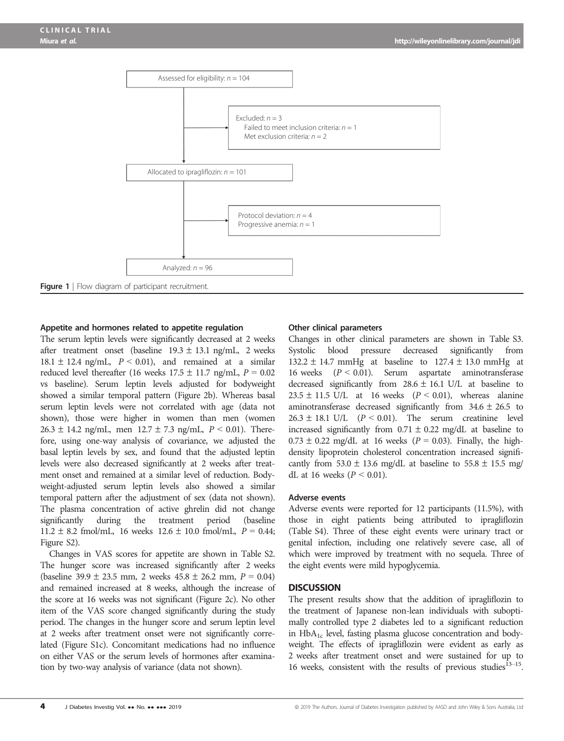

#### Appetite and hormones related to appetite regulation

The serum leptin levels were significantly decreased at 2 weeks after treatment onset (baseline  $19.3 \pm 13.1$  ng/mL, 2 weeks  $18.1 \pm 12.4$  ng/mL,  $P < 0.01$ ), and remained at a similar reduced level thereafter (16 weeks  $17.5 \pm 11.7$  ng/mL,  $P = 0.02$ vs baseline). Serum leptin levels adjusted for bodyweight showed a similar temporal pattern (Figure 2b). Whereas basal serum leptin levels were not correlated with age (data not shown), those were higher in women than men (women  $26.3 \pm 14.2$  ng/mL, men  $12.7 \pm 7.3$  ng/mL,  $P < 0.01$ ). Therefore, using one-way analysis of covariance, we adjusted the basal leptin levels by sex, and found that the adjusted leptin levels were also decreased significantly at 2 weeks after treatment onset and remained at a similar level of reduction. Bodyweight-adjusted serum leptin levels also showed a similar temporal pattern after the adjustment of sex (data not shown). The plasma concentration of active ghrelin did not change significantly during the treatment period (baseline  $11.2 \pm 8.2$  fmol/mL, 16 weeks  $12.6 \pm 10.0$  fmol/mL,  $P = 0.44$ ; Figure S2).

Changes in VAS scores for appetite are shown in Table S2. The hunger score was increased significantly after 2 weeks (baseline 39.9  $\pm$  23.5 mm, 2 weeks 45.8  $\pm$  26.2 mm,  $P = 0.04$ ) and remained increased at 8 weeks, although the increase of the score at 16 weeks was not significant (Figure 2c). No other item of the VAS score changed significantly during the study period. The changes in the hunger score and serum leptin level at 2 weeks after treatment onset were not significantly correlated (Figure S1c). Concomitant medications had no influence on either VAS or the serum levels of hormones after examination by two-way analysis of variance (data not shown).

#### Other clinical parameters

Changes in other clinical parameters are shown in Table S3. Systolic blood pressure decreased significantly from  $132.2 \pm 14.7$  mmHg at baseline to  $127.4 \pm 13.0$  mmHg at 16 weeks (P <sup>&</sup>lt; 0.01). Serum aspartate aminotransferase decreased significantly from  $28.6 \pm 16.1$  U/L at baseline to  $23.5 \pm 11.5$  U/L at 16 weeks ( $P < 0.01$ ), whereas alanine aminotransferase decreased significantly from  $34.6 \pm 26.5$  to  $26.3 \pm 18.1$  U/L ( $P < 0.01$ ). The serum creatinine level increased significantly from  $0.71 \pm 0.22$  mg/dL at baseline to  $0.73 \pm 0.22$  mg/dL at 16 weeks ( $P = 0.03$ ). Finally, the highdensity lipoprotein cholesterol concentration increased significantly from  $53.0 \pm 13.6$  mg/dL at baseline to  $55.8 \pm 15.5$  mg/ dL at 16 weeks ( $P < 0.01$ ).

#### Adverse events

Adverse events were reported for 12 participants (11.5%), with those in eight patients being attributed to ipragliflozin (Table S4). Three of these eight events were urinary tract or genital infection, including one relatively severe case, all of which were improved by treatment with no sequela. Three of the eight events were mild hypoglycemia.

#### **DISCUSSION**

The present results show that the addition of ipragliflozin to the treatment of Japanese non-lean individuals with suboptimally controlled type 2 diabetes led to a significant reduction in  $HbA_{1c}$  level, fasting plasma glucose concentration and bodyweight. The effects of ipragliflozin were evident as early as 2 weeks after treatment onset and were sustained for up to 16 weeks, consistent with the results of previous studies $^{13-15}$ .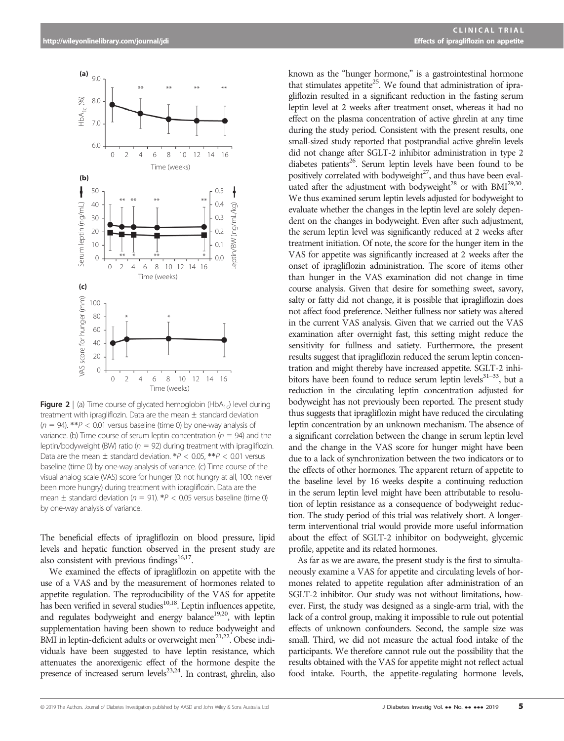

**Figure 2** | (a) Time course of glycated hemoglobin (HbA<sub>1c</sub>) level during treatment with ipragliflozin. Data are the mean  $\pm$  standard deviation  $(n = 94)$ . \*\* $P < 0.01$  versus baseline (time 0) by one-way analysis of variance. (b) Time course of serum leptin concentration ( $n = 94$ ) and the leptin/bodyweight (BW) ratio ( $n = 92$ ) during treatment with ipragliflozin. Data are the mean  $\pm$  standard deviation.  $*P < 0.05$ ,  $*P < 0.01$  versus baseline (time 0) by one-way analysis of variance. (c) Time course of the visual analog scale (VAS) score for hunger (0: not hungry at all, 100: never been more hungry) during treatment with ipragliflozin. Data are the mean  $\pm$  standard deviation ( $n = 91$ ). \*P < 0.05 versus baseline (time 0) by one-way analysis of variance.

The beneficial effects of ipragliflozin on blood pressure, lipid levels and hepatic function observed in the present study are also consistent with previous findings<sup>16,17</sup>.

We examined the effects of ipragliflozin on appetite with the use of a VAS and by the measurement of hormones related to appetite regulation. The reproducibility of the VAS for appetite has been verified in several studies<sup>10,18</sup>. Leptin influences appetite, and regulates bodyweight and energy balance<sup>19,20</sup>, with leptin supplementation having been shown to reduce bodyweight and BMI in leptin-deficient adults or overweight men<sup>21,22</sup>. Obese individuals have been suggested to have leptin resistance, which attenuates the anorexigenic effect of the hormone despite the presence of increased serum levels<sup>23,24</sup>. In contrast, ghrelin, also

known as the "hunger hormone," is a gastrointestinal hormone that stimulates appetite<sup>25</sup>. We found that administration of ipragliflozin resulted in a significant reduction in the fasting serum leptin level at 2 weeks after treatment onset, whereas it had no effect on the plasma concentration of active ghrelin at any time during the study period. Consistent with the present results, one small-sized study reported that postprandial active ghrelin levels did not change after SGLT-2 inhibitor administration in type 2 diabetes patients<sup>26</sup>. Serum leptin levels have been found to be positively correlated with bodyweight<sup>27</sup>, and thus have been evaluated after the adjustment with bodyweight<sup>28</sup> or with BMI<sup>29,30</sup>. We thus examined serum leptin levels adjusted for bodyweight to evaluate whether the changes in the leptin level are solely dependent on the changes in bodyweight. Even after such adjustment, the serum leptin level was significantly reduced at 2 weeks after treatment initiation. Of note, the score for the hunger item in the VAS for appetite was significantly increased at 2 weeks after the onset of ipragliflozin administration. The score of items other than hunger in the VAS examination did not change in time course analysis. Given that desire for something sweet, savory, salty or fatty did not change, it is possible that ipragliflozin does not affect food preference. Neither fullness nor satiety was altered in the current VAS analysis. Given that we carried out the VAS examination after overnight fast, this setting might reduce the sensitivity for fullness and satiety. Furthermore, the present results suggest that ipragliflozin reduced the serum leptin concentration and might thereby have increased appetite. SGLT-2 inhibitors have been found to reduce serum leptin levels $31-33$ , but a reduction in the circulating leptin concentration adjusted for bodyweight has not previously been reported. The present study thus suggests that ipragliflozin might have reduced the circulating leptin concentration by an unknown mechanism. The absence of a significant correlation between the change in serum leptin level and the change in the VAS score for hunger might have been due to a lack of synchronization between the two indicators or to the effects of other hormones. The apparent return of appetite to the baseline level by 16 weeks despite a continuing reduction in the serum leptin level might have been attributable to resolution of leptin resistance as a consequence of bodyweight reduction. The study period of this trial was relatively short. A longerterm interventional trial would provide more useful information about the effect of SGLT-2 inhibitor on bodyweight, glycemic profile, appetite and its related hormones.

As far as we are aware, the present study is the first to simultaneously examine a VAS for appetite and circulating levels of hormones related to appetite regulation after administration of an SGLT-2 inhibitor. Our study was not without limitations, however. First, the study was designed as a single-arm trial, with the lack of a control group, making it impossible to rule out potential effects of unknown confounders. Second, the sample size was small. Third, we did not measure the actual food intake of the participants. We therefore cannot rule out the possibility that the results obtained with the VAS for appetite might not reflect actual food intake. Fourth, the appetite-regulating hormone levels,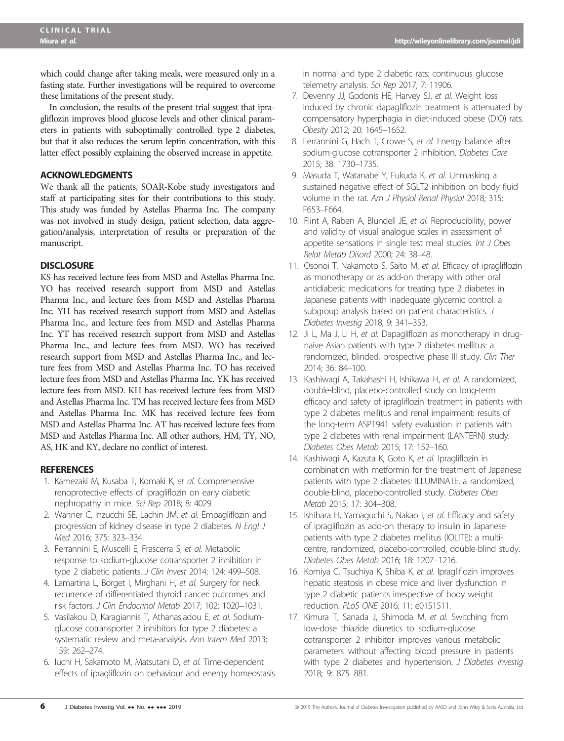which could change after taking meals, were measured only in a fasting state. Further investigations will be required to overcome these limitations of the present study.

In conclusion, the results of the present trial suggest that ipragliflozin improves blood glucose levels and other clinical parameters in patients with suboptimally controlled type 2 diabetes, but that it also reduces the serum leptin concentration, with this latter effect possibly explaining the observed increase in appetite.

# ACKNOWLEDGMENTS

We thank all the patients, SOAR-Kobe study investigators and staff at participating sites for their contributions to this study. This study was funded by Astellas Pharma Inc. The company was not involved in study design, patient selection, data aggregation/analysis, interpretation of results or preparation of the manuscript.

## **DISCLOSURE**

KS has received lecture fees from MSD and Astellas Pharma Inc. YO has received research support from MSD and Astellas Pharma Inc., and lecture fees from MSD and Astellas Pharma Inc. YH has received research support from MSD and Astellas Pharma Inc., and lecture fees from MSD and Astellas Pharma Inc. YT has received research support from MSD and Astellas Pharma Inc., and lecture fees from MSD. WO has received research support from MSD and Astellas Pharma Inc., and lecture fees from MSD and Astellas Pharma Inc. TO has received lecture fees from MSD and Astellas Pharma Inc. YK has received lecture fees from MSD. KH has received lecture fees from MSD and Astellas Pharma Inc. TM has received lecture fees from MSD and Astellas Pharma Inc. MK has received lecture fees from MSD and Astellas Pharma Inc. AT has received lecture fees from MSD and Astellas Pharma Inc. All other authors, HM, TY, NO, AS, HK and KY, declare no conflict of interest.

#### **REFERENCES**

- 1. Kamezaki M, Kusaba T, Komaki K, et al. Comprehensive renoprotective effects of ipragliflozin on early diabetic nephropathy in mice. Sci Rep 2018; 8: 4029.
- 2. Wanner C, Inzucchi SE, Lachin JM, et al. Empagliflozin and progression of kidney disease in type 2 diabetes. N Engl J Med 2016; 375: 323–334.
- 3. Ferrannini E, Muscelli E, Frascerra S, et al. Metabolic response to sodium-glucose cotransporter 2 inhibition in type 2 diabetic patients. J Clin Invest 2014; 124: 499–508.
- 4. Lamartina L, Borget I, Mirghani H, et al. Surgery for neck recurrence of differentiated thyroid cancer: outcomes and risk factors. J Clin Endocrinol Metab 2017; 102: 1020–1031.
- 5. Vasilakou D, Karagiannis T, Athanasiadou E, et al. Sodiumglucose cotransporter 2 inhibitors for type 2 diabetes: a systematic review and meta-analysis. Ann Intern Med 2013; 159: 262–274.
- 6. Iuchi H, Sakamoto M, Matsutani D, et al. Time-dependent effects of ipragliflozin on behaviour and energy homeostasis

in normal and type 2 diabetic rats: continuous glucose telemetry analysis. Sci Rep 2017; 7: 11906.

- 7. Devenny JJ, Godonis HE, Harvey SJ, et al. Weight loss induced by chronic dapagliflozin treatment is attenuated by compensatory hyperphagia in diet-induced obese (DIO) rats. Obesity 2012; 20: 1645–1652.
- 8. Ferrannini G, Hach T, Crowe S, et al. Energy balance after sodium-glucose cotransporter 2 inhibition. Diabetes Care 2015; 38: 1730–1735.
- 9. Masuda T, Watanabe Y, Fukuda K, et al. Unmasking a sustained negative effect of SGLT2 inhibition on body fluid volume in the rat. Am J Physiol Renal Physiol 2018; 315: F653–F664.
- 10. Flint A, Raben A, Blundell JE, et al. Reproducibility, power and validity of visual analogue scales in assessment of appetite sensations in single test meal studies. Int J Obes Relat Metab Disord 2000; 24: 38–48.
- 11. Osonoi T, Nakamoto S, Saito M, et al. Efficacy of ipragliflozin as monotherapy or as add-on therapy with other oral antidiabetic medications for treating type 2 diabetes in Japanese patients with inadequate glycemic control: a subgroup analysis based on patient characteristics. J Diabetes Investig 2018; 9: 341–353.
- 12. Ji L, Ma J, Li H, et al. Dapagliflozin as monotherapy in drugnaive Asian patients with type 2 diabetes mellitus: a randomized, blinded, prospective phase III study. Clin Ther 2014; 36: 84–100.
- 13. Kashiwagi A, Takahashi H, Ishikawa H, et al. A randomized, double-blind, placebo-controlled study on long-term efficacy and safety of ipragliflozin treatment in patients with type 2 diabetes mellitus and renal impairment: results of the long-term ASP1941 safety evaluation in patients with type 2 diabetes with renal impairment (LANTERN) study. Diabetes Obes Metab 2015; 17: 152–160.
- 14. Kashiwagi A, Kazuta K, Goto K, et al. Ipragliflozin in combination with metformin for the treatment of Japanese patients with type 2 diabetes: ILLUMINATE, a randomized, double-blind, placebo-controlled study. Diabetes Obes Metab 2015; 17: 304–308.
- 15. Ishihara H, Yamaguchi S, Nakao I, et al. Efficacy and safety of ipragliflozin as add-on therapy to insulin in Japanese patients with type 2 diabetes mellitus (IOLITE): a multicentre, randomized, placebo-controlled, double-blind study. Diabetes Obes Metab 2016; 18: 1207–1216.
- 16. Komiya C, Tsuchiya K, Shiba K, et al. Ipragliflozin improves hepatic steatosis in obese mice and liver dysfunction in type 2 diabetic patients irrespective of body weight reduction. PLoS ONE 2016; 11: e0151511.
- 17. Kimura T, Sanada J, Shimoda M, et al. Switching from low-dose thiazide diuretics to sodium-glucose cotransporter 2 inhibitor improves various metabolic parameters without affecting blood pressure in patients with type 2 diabetes and hypertension. J Diabetes Investig 2018; 9: 875–881.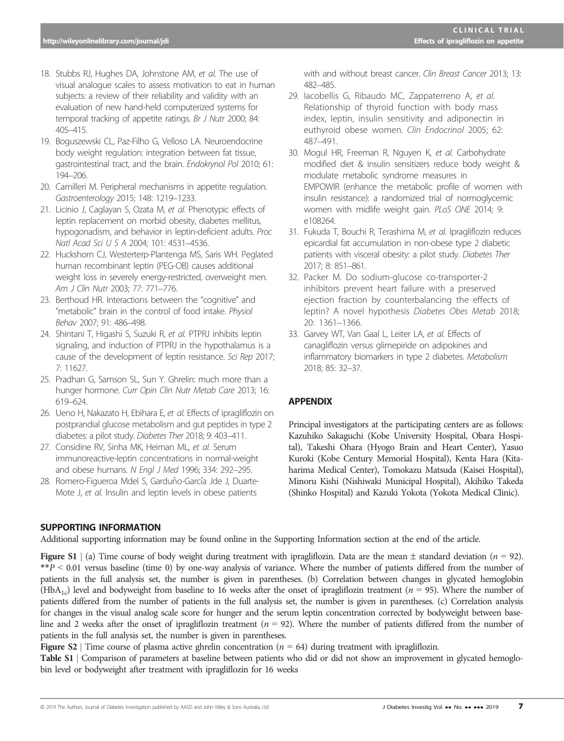- 18. Stubbs RJ, Hughes DA, Johnstone AM, et al. The use of visual analogue scales to assess motivation to eat in human subjects: a review of their reliability and validity with an evaluation of new hand-held computerized systems for temporal tracking of appetite ratings. Br J Nutr 2000; 84: 405–415.
- 19. Boguszewski CL, Paz-Filho G, Velloso LA. Neuroendocrine body weight regulation: integration between fat tissue, gastrointestinal tract, and the brain. Endokrynol Pol 2010; 61: 194–206.
- 20. Camilleri M. Peripheral mechanisms in appetite regulation. Gastroenterology 2015; 148: 1219–1233.
- 21. Licinio J, Caglayan S, Ozata M, et al. Phenotypic effects of leptin replacement on morbid obesity, diabetes mellitus, hypogonadism, and behavior in leptin-deficient adults. Proc Natl Acad Sci U S A 2004; 101: 4531–4536.
- 22. Huckshorn CJ, Westerterp-Plantenga MS, Saris WH. Peglated human recombinant leptin (PEG-OB) causes additional weight loss in severely energy-restricted, overweight men. Am J Clin Nutr 2003; 77: 771–776.
- 23. Berthoud HR. Interactions between the "cognitive" and "metabolic" brain in the control of food intake. Physiol Behav 2007; 91: 486–498.
- 24. Shintani T, Higashi S, Suzuki R, et al. PTPRJ inhibits leptin signaling, and induction of PTPRJ in the hypothalamus is a cause of the development of leptin resistance. Sci Rep 2017; 7: 11627.
- 25. Pradhan G, Samson SL, Sun Y. Ghrelin: much more than a hunger hormone. Curr Opin Clin Nutr Metab Care 2013; 16: 619–624.
- 26. Ueno H, Nakazato H, Ebihara E, et al. Effects of ipragliflozin on postprandial glucose metabolism and gut peptides in type 2 diabetes: a pilot study. Diabetes Ther 2018; 9: 403–411.
- 27. Considine RV, Sinha MK, Heiman ML, et al. Serum immunoreactive-leptin concentrations in normal-weight and obese humans. N Engl J Med 1996; 334: 292–295.
- 28. Romero-Figueroa Mdel S, Garduño-García Jde J, Duarte-Mote J, et al. Insulin and leptin levels in obese patients

with and without breast cancer. Clin Breast Cancer 2013; 13: 482–485.

- 29. Iacobellis G, Ribaudo MC, Zappaterreno A, et al. Relationship of thyroid function with body mass index, leptin, insulin sensitivity and adiponectin in euthyroid obese women. Clin Endocrinol 2005; 62: 487–491.
- 30. Mogul HR, Freeman R, Nguyen K, et al. Carbohydrate modified diet & insulin sensitizers reduce body weight & modulate metabolic syndrome measures in EMPOWIR (enhance the metabolic profile of women with insulin resistance): a randomized trial of normoglycemic women with midlife weight gain. PLoS ONE 2014; 9: e108264.
- 31. Fukuda T, Bouchi R, Terashima M, et al. Ipragliflozin reduces epicardial fat accumulation in non-obese type 2 diabetic patients with visceral obesity: a pilot study. Diabetes Ther 2017; 8: 851–861.
- 32. Packer M. Do sodium-glucose co-transporter-2 inhibitors prevent heart failure with a preserved ejection fraction by counterbalancing the effects of leptin? A novel hypothesis Diabetes Obes Metab 2018; 20: 1361–1366.
- 33. Garvey WT, Van Gaal L, Leiter LA, et al. Effects of canagliflozin versus glimepiride on adipokines and inflammatory biomarkers in type 2 diabetes. Metabolism 2018; 85: 32–37.

# APPENDIX

Principal investigators at the participating centers are as follows: Kazuhiko Sakaguchi (Kobe University Hospital, Obara Hospital), Takeshi Ohara (Hyogo Brain and Heart Center), Yasuo Kuroki (Kobe Century Memorial Hospital), Kenta Hara (Kitaharima Medical Center), Tomokazu Matsuda (Kaisei Hospital), Minoru Kishi (Nishiwaki Municipal Hospital), Akihiko Takeda (Shinko Hospital) and Kazuki Yokota (Yokota Medical Clinic).

# SUPPORTING INFORMATION

Additional supporting information may be found online in the Supporting Information section at the end of the article.

**Figure S1** | (a) Time course of body weight during treatment with ipragliflozin. Data are the mean  $\pm$  standard deviation ( $n = 92$ ).  $*P < 0.01$  versus baseline (time 0) by one-way analysis of variance. Where the number of patients differed from the number of patients in the full analysis set, the number is given in parentheses. (b) Correlation between changes in glycated hemoglobin (HbA<sub>1c</sub>) level and bodyweight from baseline to 16 weeks after the onset of ipragliflozin treatment ( $n = 95$ ). Where the number of patients differed from the number of patients in the full analysis set, the number is given in parentheses. (c) Correlation analysis for changes in the visual analog scale score for hunger and the serum leptin concentration corrected by bodyweight between baseline and 2 weeks after the onset of ipragliflozin treatment ( $n = 92$ ). Where the number of patients differed from the number of patients in the full analysis set, the number is given in parentheses.

**Figure S2** | Time course of plasma active ghrelin concentration ( $n = 64$ ) during treatment with ipragliflozin.

Table S1 <sup>|</sup> Comparison of parameters at baseline between patients who did or did not show an improvement in glycated hemoglobin level or bodyweight after treatment with ipragliflozin for 16 weeks